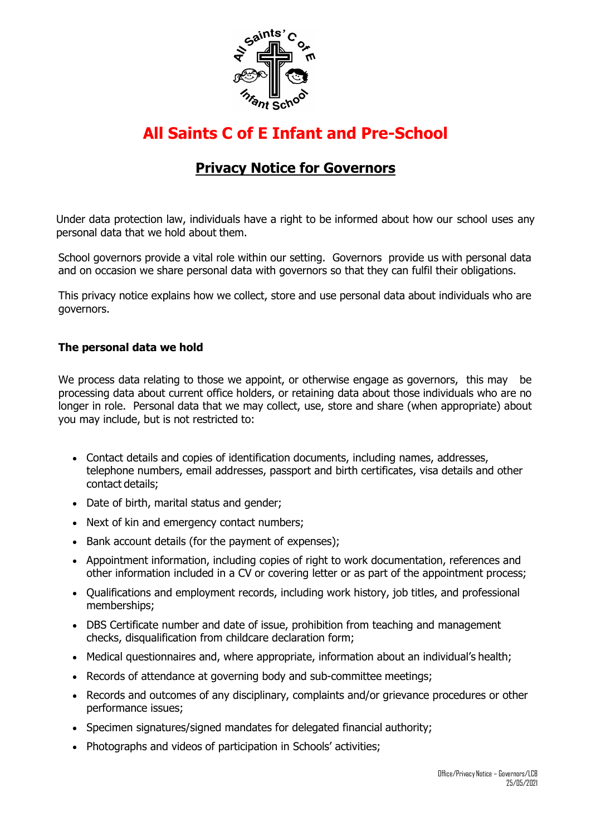

# **All Saints C of E Infant and Pre-School**

# **Privacy Notice for Governors**

Under data protection law, individuals have a right to be informed about how our school uses any personal data that we hold about them.

School governors provide a vital role within our setting. Governors provide us with personal data and on occasion we share personal data with governors so that they can fulfil their obligations.

This privacy notice explains how we collect, store and use personal data about individuals who are governors.

#### **The personal data we hold**

We process data relating to those we appoint, or otherwise engage as governors, this may be processing data about current office holders, or retaining data about those individuals who are no longer in role. Personal data that we may collect, use, store and share (when appropriate) about you may include, but is not restricted to:

- Contact details and copies of identification documents, including names, addresses, telephone numbers, email addresses, passport and birth certificates, visa details and other contact details;
- Date of birth, marital status and gender;
- Next of kin and emergency contact numbers;
- Bank account details (for the payment of expenses);
- Appointment information, including copies of right to work documentation, references and other information included in a CV or covering letter or as part of the appointment process;
- Oualifications and employment records, including work history, job titles, and professional memberships;
- DBS Certificate number and date of issue, prohibition from teaching and management checks, disqualification from childcare declaration form;
- Medical questionnaires and, where appropriate, information about an individual's health;
- Records of attendance at governing body and sub-committee meetings;
- Records and outcomes of any disciplinary, complaints and/or grievance procedures or other performance issues;
- Specimen signatures/signed mandates for delegated financial authority;
- Photographs and videos of participation in Schools' activities;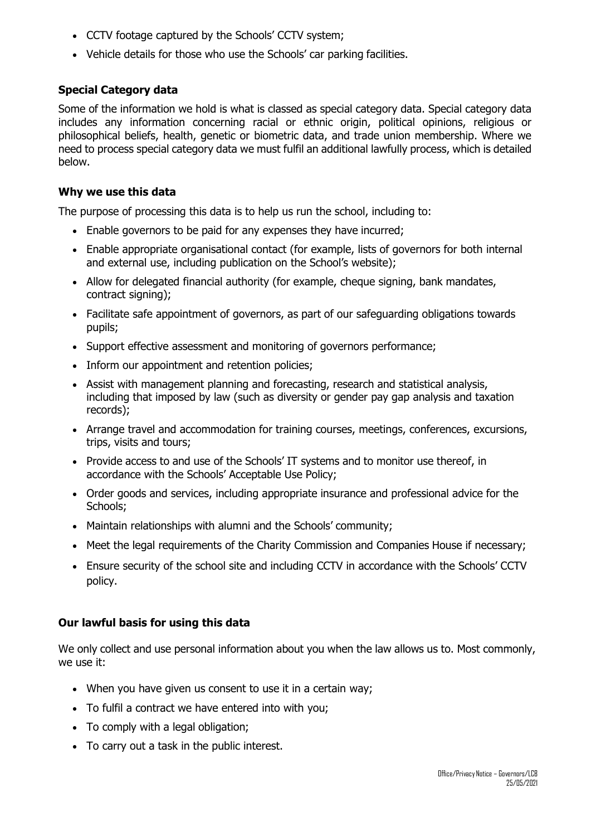- CCTV footage captured by the Schools' CCTV system;
- Vehicle details for those who use the Schools' car parking facilities.

# **Special Category data**

Some of the information we hold is what is classed as special category data. Special category data includes any information concerning racial or ethnic origin, political opinions, religious or philosophical beliefs, health, genetic or biometric data, and trade union membership. Where we need to process special category data we must fulfil an additional lawfully process, which is detailed below.

#### **Why we use this data**

The purpose of processing this data is to help us run the school, including to:

- Enable governors to be paid for any expenses they have incurred;
- Enable appropriate organisational contact (for example, lists of governors for both internal and external use, including publication on the School's website);
- Allow for delegated financial authority (for example, cheque signing, bank mandates, contract signing);
- Facilitate safe appointment of governors, as part of our safeguarding obligations towards pupils;
- Support effective assessment and monitoring of governors performance;
- Inform our appointment and retention policies:
- Assist with management planning and forecasting, research and statistical analysis, including that imposed by law (such as diversity or gender pay gap analysis and taxation records);
- Arrange travel and accommodation for training courses, meetings, conferences, excursions, trips, visits and tours;
- Provide access to and use of the Schools' IT systems and to monitor use thereof, in accordance with the Schools' Acceptable Use Policy;
- Order goods and services, including appropriate insurance and professional advice for the Schools;
- Maintain relationships with alumni and the Schools' community;
- Meet the legal requirements of the Charity Commission and Companies House if necessary;
- Ensure security of the school site and including CCTV in accordance with the Schools' CCTV policy.

# **Our lawful basis for using this data**

We only collect and use personal information about you when the law allows us to. Most commonly, we use it:

- When you have given us consent to use it in a certain way;
- To fulfil a contract we have entered into with you;
- To comply with a legal obligation;
- To carry out a task in the public interest.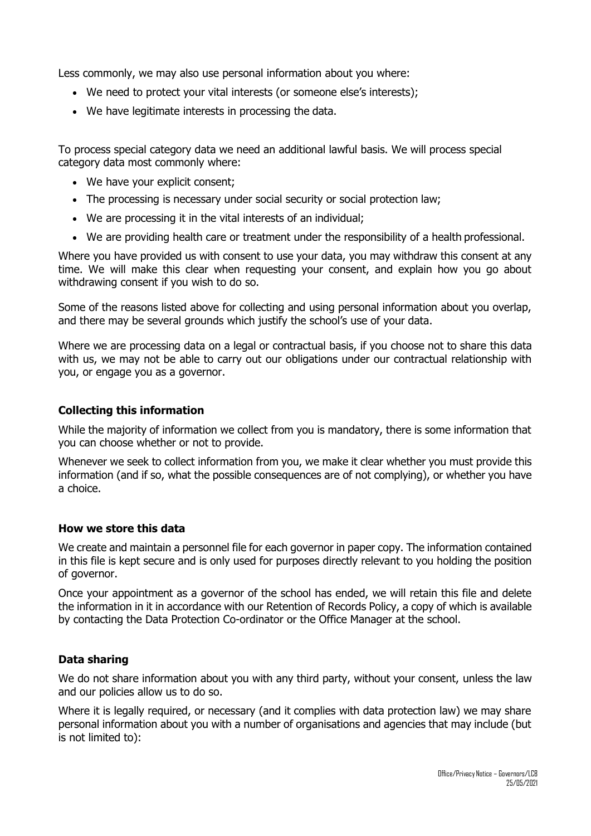Less commonly, we may also use personal information about you where:

- We need to protect your vital interests (or someone else's interests);
- We have legitimate interests in processing the data.

To process special category data we need an additional lawful basis. We will process special category data most commonly where:

- We have your explicit consent;
- The processing is necessary under social security or social protection law;
- We are processing it in the vital interests of an individual;
- We are providing health care or treatment under the responsibility of a health professional.

Where you have provided us with consent to use your data, you may withdraw this consent at any time. We will make this clear when requesting your consent, and explain how you go about withdrawing consent if you wish to do so.

Some of the reasons listed above for collecting and using personal information about you overlap, and there may be several grounds which justify the school's use of your data.

Where we are processing data on a legal or contractual basis, if you choose not to share this data with us, we may not be able to carry out our obligations under our contractual relationship with you, or engage you as a governor.

#### **Collecting this information**

While the majority of information we collect from you is mandatory, there is some information that you can choose whether or not to provide.

Whenever we seek to collect information from you, we make it clear whether you must provide this information (and if so, what the possible consequences are of not complying), or whether you have a choice.

#### **How we store this data**

We create and maintain a personnel file for each governor in paper copy. The information contained in this file is kept secure and is only used for purposes directly relevant to you holding the position of governor.

Once your appointment as a governor of the school has ended, we will retain this file and delete the information in it in accordance with our Retention of Records Policy, a copy of which is available by contacting the Data Protection Co-ordinator or the Office Manager at the school.

# **Data sharing**

We do not share information about you with any third party, without your consent, unless the law and our policies allow us to do so.

Where it is legally required, or necessary (and it complies with data protection law) we may share personal information about you with a number of organisations and agencies that may include (but is not limited to):